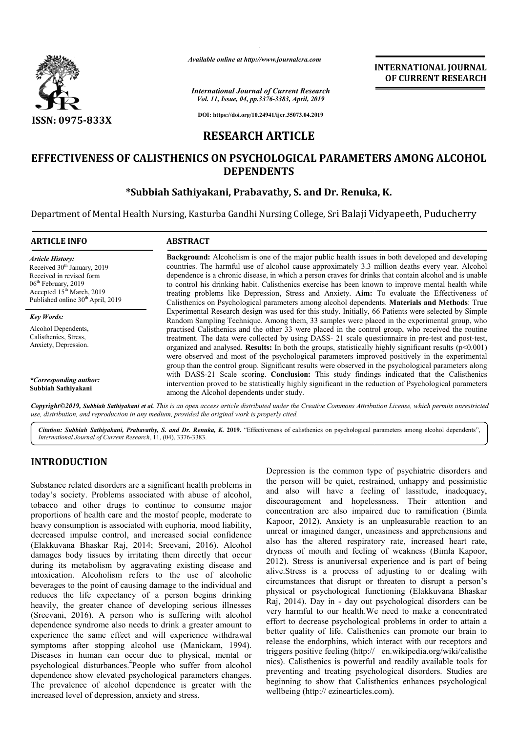

*Available online at http://www.journalcra.com*

**INTERNATIONAL JOURNAL OF CURRENT RESEARCH**

*International Journal of Current Research Vol. 11, Issue, 04, pp.3376-3383, April, 2019*

**DOI: https://doi.org/10.24941/ijcr.35073.04.2019**

# **RESEARCH ARTICLE**

# EFFECTIVENESS OF CALISTHENICS ON PSYCHOLOGICAL PARAMETERS AMONG ALCOHOL **DEPENDENTS**

# **\*Subbiah Sathiyakani, Prabavathy, S. and Dr. Renuka, K. Renuka, K.**

Department of Mental Health Nursing, Kasturba Gandhi Nursing College, Sr Sri Balaji Vidyapeeth, Puducherry i

| <b>ARTICLE INFO</b>                                                                                                                                                                                               | <b>ABSTRACT</b>                                                                                                                                                                                                                                                                                                                                                                                                                                                                                                                                                                                                                |  |  |  |  |
|-------------------------------------------------------------------------------------------------------------------------------------------------------------------------------------------------------------------|--------------------------------------------------------------------------------------------------------------------------------------------------------------------------------------------------------------------------------------------------------------------------------------------------------------------------------------------------------------------------------------------------------------------------------------------------------------------------------------------------------------------------------------------------------------------------------------------------------------------------------|--|--|--|--|
| <b>Article History:</b><br>Received 30 <sup>th</sup> January, 2019<br>Received in revised form<br>$06th$ February, 2019<br>Accepted 15 <sup>th</sup> March, 2019<br>Published online 30 <sup>th</sup> April, 2019 | <b>Background:</b> Alcoholism is one of the major public health issues in both developed and developing<br>countries. The harmful use of alcohol cause approximately 3.3 million deaths every year. Alcohol<br>dependence is a chronic disease, in which a person craves for drinks that contain alcohol and is unable<br>to control his drinking habit. Calisthenics exercise has been known to improve mental health while<br>treating problems like Depression, Stress and Anxiety. Aim: To evaluate the Effectiveness of<br>Calisthenics on Psychological parameters among alcohol dependents. Materials and Methods: True |  |  |  |  |
| <b>Key Words:</b>                                                                                                                                                                                                 | Experimental Research design was used for this study. Initially, 66 Patients were selected by Simple<br>Random Sampling Technique. Among them, 33 samples were placed in the experimental group, who                                                                                                                                                                                                                                                                                                                                                                                                                           |  |  |  |  |
| Alcohol Dependents,<br>Calisthenics, Stress,<br>Anxiety, Depression.                                                                                                                                              | practised Calisthenics and the other 33 were placed in the control group, who received the routine<br>treatment. The data were collected by using DASS- 21 scale questionnaire in pre-test and post-test,<br>organized and analysed. Results: In both the groups, statistically highly significant results $(p<0.001)$<br>were observed and most of the psychological parameters improved positively in the experimental<br>group than the control group. Significant results were observed in the psychological parameters along                                                                                              |  |  |  |  |
| *Corresponding author:<br>Subbiah Sathiyakani                                                                                                                                                                     | with DASS-21 Scale scoring. Conclusion: This study findings indicated that the Calisthenics<br>intervention proved to be statistically highly significant in the reduction of Psychological parameters<br>among the Alcohol dependents under study.                                                                                                                                                                                                                                                                                                                                                                            |  |  |  |  |
|                                                                                                                                                                                                                   |                                                                                                                                                                                                                                                                                                                                                                                                                                                                                                                                                                                                                                |  |  |  |  |

Copyright©2019, Subbiah Sathiyakani et al. This is an open access article distributed under the Creative Commons Attribution License, which permits unrestrictea *use, distribution, and reproduction in any medium, provided the original work is properly cited.*

Citation: Subbiah Sathiyakani, Prabavathy, S. and Dr. Renuka, K. 2019. "Effectiveness of calisthenics on psychological parameters among alcohol dependents", *International Journal of Current Research*, 11, (04), 3376 3376-3383.

# **INTRODUCTION**

Substance related disorders are a significant health problems in today's society. Problems associated with abuse of alcohol, tobacco and other drugs to continue to consume major proportions of health care and the mostof people, moderate to heavy consumption is associated with euphoria, mood liability, decreased impulse control, and increased social confidence (Elakkuvana Bhaskar Raj, 2014; Sreevani, 2016 damages body tissues by irritating them directly that occur during its metabolism by aggravating existing disease and intoxication. Alcoholism refers to the use of alcoholic beverages to the point of causing damage to the individual and reduces the life expectancy of a person begins drinking heavily, the greater chance of developing serious illnesses (Sreevani, 2016). A person who is suffering with alcohol dependence syndrome also needs to drink a greater amount to experience the same effect and will experience withdrawal (Sreevani, 2016). A person who is suffering with alcohol dependence syndrome also needs to drink a greater amount to experience the same effect and will experience withdrawal symptoms after stopping alcohol use (Manickam, Diseases in human can occur due to physical, mental or psychological disturbances.4 People who suffer from alcohol dependence show elevated psychological parameters changes. The prevalence of alcohol dependence is greater with the increased level of depression, anxiety and stress. eavy consumption is associated with euphoria, mood liability,<br>lecreased impulse control, and increased social confidence<br>Elakkuvana Bhaskar Raj, 2014; Sreevani, 2016). Alcohol Depression is the common type of psychiatric disorders and the person will be quiet, restrained, unhappy and pessimistic and also will have a feeling of lassitude, inadequacy, discouragement and hopelessness. Their attention and concentration are also impaired due to ramification (Bimla Kapoor, 2012). Anxiety is an unpleasurable reaction to an unreal or imagined danger, uneasiness and apprehensions and also has the altered respiratory rate, increased heart rate, dryness of mouth and feeling of weakness (Bimla Kapoor, 2012). Stress is anuniversal experience and is part of being alive.Stress is a process of adjusting to or dealing with circumstances that disrupt or threaten to disrupt a person's physical or psychological functioning (Elakkuvana Bhaskar Raj, 2014). Day in - day out psychological disorders can be very harmful to our health.We need to make a concentrated effort to decrease psychological problems in order to attain a better quality of life. Calisthenics can promote our brain to release the endorphins, which interact with our receptors and triggers positive feeling (http:// en.wikipedia.org/wiki/calisthe nics). Calisthenics is powerful and readily available tools for preventing and treating psychological disorders. Studies are beginning to show that Calisthenics enhances psychological wellbeing (http:// ezinearticles.com) he common type of psychiatric disorders and<br>be quiet, restrained, unhappy and pessimistic<br>have a feeling of lassitude, inadequacy,<br>and hopelessness. Their attention and<br>re also impaired due to ramification (Bimla Kapoor, 2012). Anxiety is an unpleasurable reaction to an unreal or imagined danger, uneasiness and apprehensions and also has the altered respiratory rate, increased heart rate, dryness of mouth and feeling of weakness (B Stress is anuniversal experience and is part of being<br>ress is a process of adjusting to or dealing with<br>stances that disrupt or threaten to disrupt a person's<br>1 or psychological functioning (Elakkuvana Bhaskar ). Day in - day out psychological disorders can be ful to our health. We need to make a concentrated ecrease psychological problems in order to attain a lity of life. Calisthenics can promote our brain to e endorphins, whi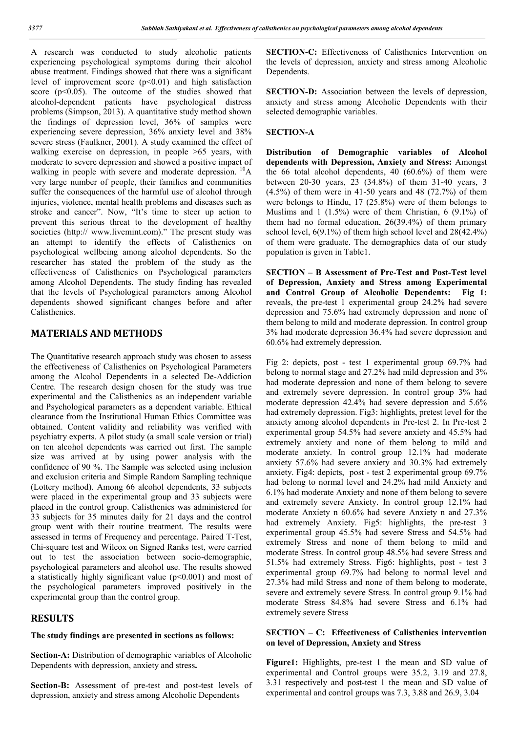A research was conducted to study alcoholic patients experiencing psychological symptoms during their alcohol abuse treatment. Findings showed that there was a significant level of improvement score  $(p<0.01)$  and high satisfaction score  $(p<0.05)$ . The outcome of the studies showed that alcohol-dependent patients have psychological distress problems (Simpson, 2013). A quantitative study method shown the findings of depression level, 36% of samples were experiencing severe depression, 36% anxiety level and 38% severe stress (Faulkner, 2001). A study examined the effect of walking exercise on depression, in people >65 years, with moderate to severe depression and showed a positive impact of walking in people with severe and moderate depression.  ${}^{10}$ A very large number of people, their families and communities suffer the consequences of the harmful use of alcohol through injuries, violence, mental health problems and diseases such as stroke and cancer". Now, "It's time to steer up action to prevent this serious threat to the development of healthy societies (http:// www.livemint.com)." The present study was an attempt to identify the effects of Calisthenics on psychological wellbeing among alcohol dependents. So the researcher has stated the problem of the study as the effectiveness of Calisthenics on Psychological parameters among Alcohol Dependents. The study finding has revealed that the levels of Psychological parameters among Alcohol dependents showed significant changes before and after Calisthenics.

## **MATERIALS AND METHODS**

The Quantitative research approach study was chosen to assess the effectiveness of Calisthenics on Psychological Parameters among the Alcohol Dependents in a selected De-Addiction Centre. The research design chosen for the study was true experimental and the Calisthenics as an independent variable and Psychological parameters as a dependent variable. Ethical clearance from the Institutional Human Ethics Committee was obtained. Content validity and reliability was verified with psychiatry experts. A pilot study (a small scale version or trial) on ten alcohol dependents was carried out first. The sample size was arrived at by using power analysis with the confidence of 90 %. The Sample was selected using inclusion and exclusion criteria and Simple Random Sampling technique (Lottery method). Among 66 alcohol dependents, 33 subjects were placed in the experimental group and 33 subjects were placed in the control group. Calisthenics was administered for 33 subjects for 35 minutes daily for 21 days and the control group went with their routine treatment. The results were assessed in terms of Frequency and percentage. Paired T-Test, Chi-square test and Wilcox on Signed Ranks test, were carried out to test the association between socio-demographic, psychological parameters and alcohol use. The results showed a statistically highly significant value  $(p<0.001)$  and most of the psychological parameters improved positively in the experimental group than the control group.

## **RESULTS**

### **The study findings are presented in sections as follows:**

**Section-A:** Distribution of demographic variables of Alcoholic Dependents with depression, anxiety and stress**.**

**Section-B:** Assessment of pre-test and post-test levels of depression, anxiety and stress among Alcoholic Dependents

**SECTION-C:** Effectiveness of Calisthenics Intervention on the levels of depression, anxiety and stress among Alcoholic Dependents.

**SECTION-D:** Association between the levels of depression, anxiety and stress among Alcoholic Dependents with their selected demographic variables.

### **SECTION-A**

**Distribution of Demographic variables of Alcohol dependents with Depression, Anxiety and Stress:** Amongst the 66 total alcohol dependents, 40 (60.6%) of them were between 20-30 years, 23 (34.8%) of them 31-40 years, 3 (4.5%) of them were in 41-50 years and 48 (72.7%) of them were belongs to Hindu, 17 (25.8%) were of them belongs to Muslims and 1 (1.5%) were of them Christian, 6 (9.1%) of them had no formal education, 26(39.4%) of them primary school level, 6(9.1%) of them high school level and 28(42.4%) of them were graduate. The demographics data of our study population is given in Table1.

**SECTION – B Assessment of Pre-Test and Post-Test level of Depression, Anxiety and Stress among Experimental and Control Group of Alcoholic Dependents: Fig 1:** reveals, the pre-test 1 experimental group 24.2% had severe depression and 75.6% had extremely depression and none of them belong to mild and moderate depression. In control group 3% had moderate depression 36.4% had severe depression and 60.6% had extremely depression.

Fig 2: depicts, post - test 1 experimental group 69.7% had belong to normal stage and 27.2% had mild depression and 3% had moderate depression and none of them belong to severe and extremely severe depression. In control group 3% had moderate depression 42.4% had severe depression and 5.6% had extremely depression. Fig3: highlights, pretest level for the anxiety among alcohol dependents in Pre-test 2. In Pre-test 2 experimental group 54.5% had severe anxiety and 45.5% had extremely anxiety and none of them belong to mild and moderate anxiety. In control group 12.1% had moderate anxiety 57.6% had severe anxiety and 30.3% had extremely anxiety. Fig4: depicts, post - test 2 experimental group 69.7% had belong to normal level and 24.2% had mild Anxiety and 6.1% had moderate Anxiety and none of them belong to severe and extremely severe Anxiety. In control group 12.1% had moderate Anxiety n 60.6% had severe Anxiety n and 27.3% had extremely Anxiety. Fig5: highlights, the pre-test 3 experimental group 45.5% had severe Stress and 54.5% had extremely Stress and none of them belong to mild and moderate Stress. In control group 48.5% had severe Stress and 51.5% had extremely Stress. Fig6: highlights, post - test 3 experimental group 69.7% had belong to normal level and 27.3% had mild Stress and none of them belong to moderate, severe and extremely severe Stress. In control group 9.1% had moderate Stress 84.8% had severe Stress and 6.1% had extremely severe Stress

### **SECTION – C: Effectiveness of Calisthenics intervention on level of Depression, Anxiety and Stress**

**Figure1:** Highlights, pre-test 1 the mean and SD value of experimental and Control groups were 35.2, 3.19 and 27.8, 3.31 respectively and post-test 1 the mean and SD value of experimental and control groups was 7.3, 3.88 and 26.9, 3.04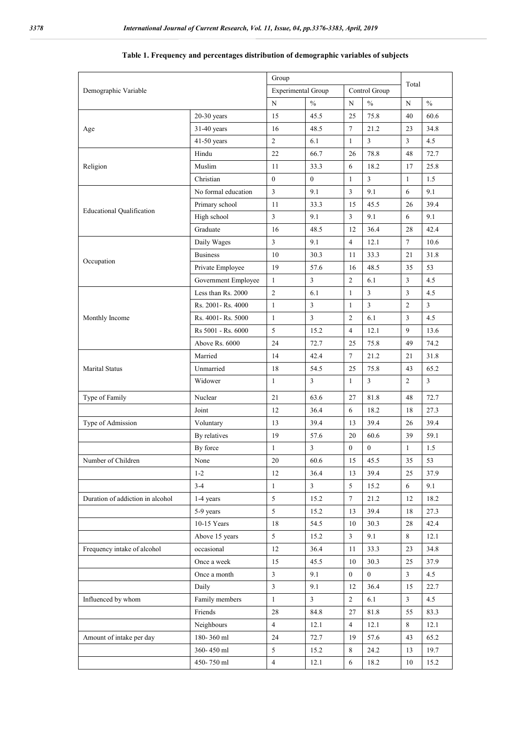| Demographic Variable             |                     | Group                     |                |                  |                  | Total          |                |
|----------------------------------|---------------------|---------------------------|----------------|------------------|------------------|----------------|----------------|
|                                  |                     | <b>Experimental Group</b> |                |                  | Control Group    |                |                |
|                                  |                     | N                         | $\frac{0}{0}$  | N                | $\frac{0}{0}$    | N              | $\frac{0}{0}$  |
|                                  | $20-30$ years       | 15                        | 45.5           | 25               | 75.8             | 40             | 60.6           |
| Age                              | 31-40 years         | 16                        | 48.5           | 7                | 21.2             | 23             | 34.8           |
|                                  | 41-50 years         | $\overline{2}$            | 6.1            | $\mathbf{1}$     | 3                | $\overline{3}$ | 4.5            |
|                                  | Hindu               | 22                        | 66.7           | 26               | 78.8             | 48             | 72.7           |
| Religion                         | Muslim              | 11                        | 33.3           | 6                | 18.2             | 17             | 25.8           |
|                                  | Christian           | $\overline{0}$            | $\mathbf{0}$   | $\mathbf{1}$     | 3                | $\mathbf{1}$   | 1.5            |
| <b>Educational Qualification</b> | No formal education | $\overline{3}$            | 9.1            | 3                | 9.1              | 6              | 9.1            |
|                                  | Primary school      | 11                        | 33.3           | 15               | 45.5             | 26             | 39.4           |
|                                  | High school         | 3                         | 9.1            | 3                | 9.1              | 6              | 9.1            |
|                                  | Graduate            | 16                        | 48.5           | 12               | 36.4             | 28             | 42.4           |
|                                  | Daily Wages         | $\mathfrak{Z}$            | 9.1            | 4                | 12.1             | $\tau$         | 10.6           |
|                                  | <b>Business</b>     | 10                        | 30.3           | 11               | 33.3             | 21             | 31.8           |
| Occupation                       | Private Employee    | 19                        | 57.6           | 16               | 48.5             | 35             | 53             |
|                                  | Government Employee | $\mathbf{1}$              | $\mathfrak{Z}$ | $\overline{c}$   | 6.1              | $\overline{3}$ | 4.5            |
|                                  | Less than Rs. 2000  | $\overline{2}$            | 6.1            | $\mathbf{1}$     | $\overline{3}$   | $\overline{3}$ | 4.5            |
|                                  | Rs. 2001- Rs. 4000  | $\mathbf{1}$              | $\mathfrak{Z}$ | $\mathbf{1}$     | $\overline{3}$   | 2              | $\mathfrak{Z}$ |
| Monthly Income                   | Rs. 4001- Rs. 5000  | $\mathbf{1}$              | $\mathfrak{Z}$ | 2                | 6.1              | $\mathfrak{Z}$ | 4.5            |
|                                  | Rs 5001 - Rs. 6000  | 5                         | 15.2           | $\overline{4}$   | 12.1             | 9              | 13.6           |
|                                  | Above Rs. 6000      | 24                        | 72.7           | 25               | 75.8             | 49             | 74.2           |
|                                  | Married             | 14                        | 42.4           | 7                | 21.2             | 21             | 31.8           |
| Marital Status                   | Unmarried           | 18                        | 54.5           | 25               | 75.8             | 43             | 65.2           |
|                                  | Widower             | $\mathbf{1}$              | $\overline{3}$ | $\mathbf{1}$     | 3                | $\overline{2}$ | $\overline{3}$ |
| Type of Family                   | Nuclear             | 21                        | 63.6           | 27               | 81.8             | 48             | 72.7           |
|                                  | Joint               | 12                        | 36.4           | 6                | 18.2             | 18             | 27.3           |
| Type of Admission                | Voluntary           | 13                        | 39.4           | 13               | 39.4             | 26             | 39.4           |
|                                  | By relatives        | 19                        | 57.6           | 20               | 60.6             | 39             | 59.1           |
|                                  | By force            | 1                         | $\mathfrak{Z}$ | $\boldsymbol{0}$ | $\boldsymbol{0}$ | $\mathbf{1}$   | 1.5            |
| Number of Children               | None                | $20\,$                    | 60.6           | 15 <sup>7</sup>  | 45.5             | 35             | 53             |
|                                  | $1-2$               | 12                        | 36.4           | 13               | 39.4             | 25             | 37.9           |
|                                  | $3 - 4$             | $\mathbf{1}$              | $\mathfrak{Z}$ | 5                | 15.2             | 6              | 9.1            |
| Duration of addiction in alcohol | 1-4 years           | 5                         | 15.2           | $\tau$           | 21.2             | 12             | 18.2           |
|                                  | 5-9 years           | 5                         | 15.2           | 13               | 39.4             | 18             | 27.3           |
|                                  | 10-15 Years         | 18                        | 54.5           | 10               | 30.3             | 28             | 42.4           |
|                                  | Above 15 years      | 5                         | 15.2           | $\mathbf{3}$     | 9.1              | 8              | 12.1           |
| Frequency intake of alcohol      | occasional          | 12                        | 36.4           | 11               | 33.3             | 23             | 34.8           |
|                                  | Once a week         | 15                        | 45.5           | 10               | 30.3             | 25             | 37.9           |
|                                  | Once a month        | $\mathfrak{Z}$            | 9.1            | $\overline{0}$   | $\overline{0}$   | $\overline{3}$ | 4.5            |
|                                  | Daily               | $\mathfrak{Z}$            | 9.1            | 12               | 36.4             | 15             | 22.7           |
| Influenced by whom               | Family members      | $\mathbf{1}$              | $\mathfrak{Z}$ | $\overline{2}$   | 6.1              | $\mathbf{3}$   | 4.5            |
|                                  | Friends             | 28                        | 84.8           | 27               | 81.8             | 55             | 83.3           |
|                                  | Neighbours          | $\overline{4}$            | 12.1           | 4                | 12.1             | 8              | 12.1           |
| Amount of intake per day         | 180-360 ml          | 24                        | 72.7           | 19               | 57.6             | 43             | 65.2           |
|                                  | 360-450 ml          | 5                         | 15.2           | 8                | 24.2             | 13             | 19.7           |
|                                  | 450-750 ml          | $\overline{4}$            | 12.1           | 6                | 18.2             | 10             | 15.2           |

## **Table 1. Frequency and percentages distribution of demographic variables of subjects**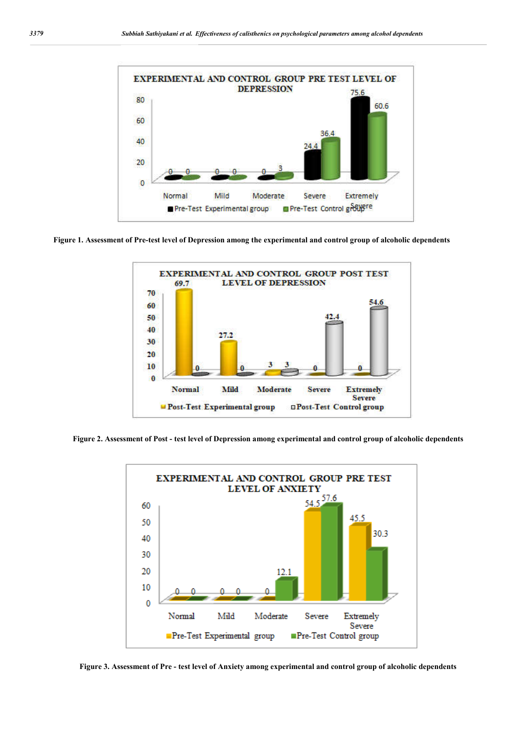

**Figure 1. Assessment of Pre-test level of Depression among the experimental and control group of alcoholic dependents**



**Figure 2. Assessment of Post - test level of Depression among experimental and control group of alcoholic dependents**



**Figure 3. Assessment of Pre - test level of Anxiety among experimental and control group of alcoholic dependents**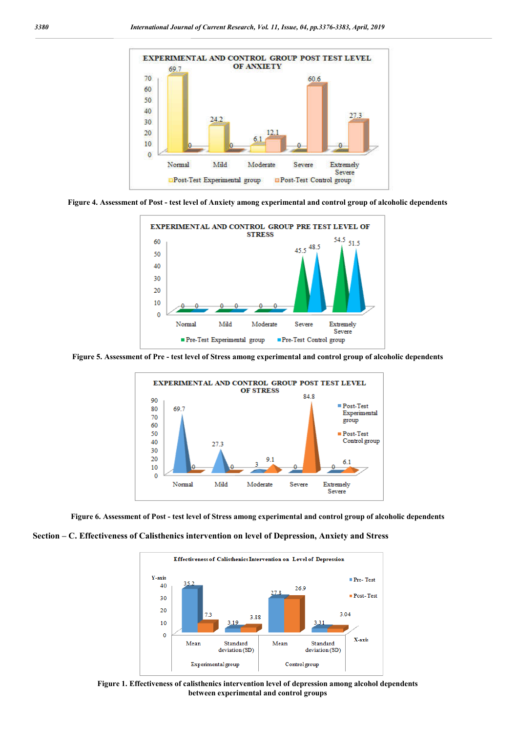





**Figure 5. Assessment of Pre - test level of Stress among experimental and control group of alcoholic dependents**



**Figure 6. Assessment of Post - test level of Stress among experimental and control group of alcoholic dependents**





**Figure 1. Effectiveness of calisthenics intervention level of depression among alcohol dependents between experimental and control groups**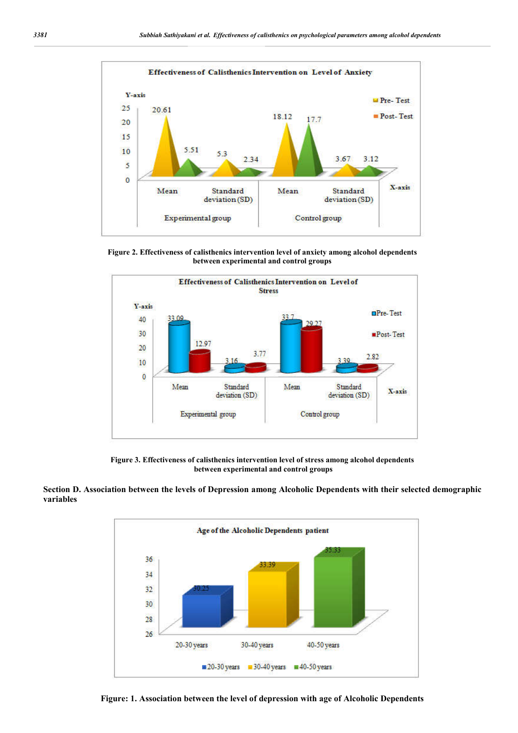

**Figure 2. Effectiveness of calisthenics intervention level of anxiety among alcohol dependents between experimental and control groups**



**Figure 3. Effectiveness of calisthenics intervention level of stress among alcohol dependents between experimental and control groups**





**Figure: 1. Association between the level of depression with age of Alcoholic Dependents**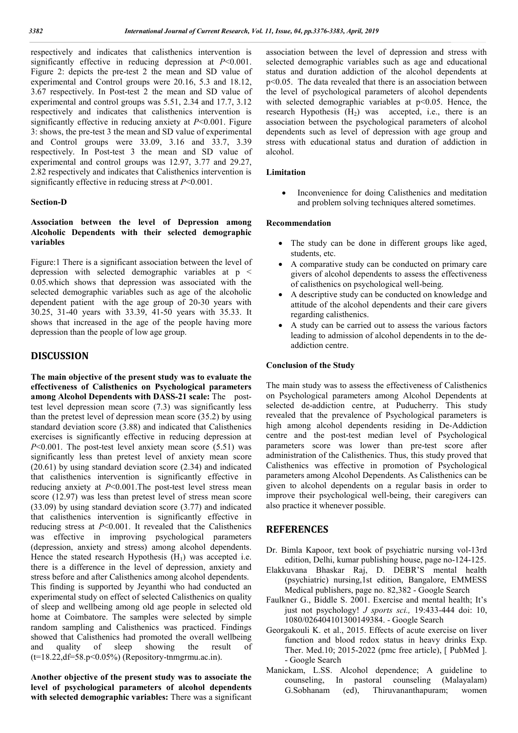respectively and indicates that calisthenics intervention is significantly effective in reducing depression at *P*<0.001. Figure 2: depicts the pre-test 2 the mean and SD value of experimental and Control groups were 20.16, 5.3 and 18.12, 3.67 respectively. In Post-test 2 the mean and SD value of experimental and control groups was 5.51, 2.34 and 17.7, 3.12 respectively and indicates that calisthenics intervention is significantly effective in reducing anxiety at *P*<0.001. Figure 3: shows, the pre-test 3 the mean and SD value of experimental and Control groups were 33.09, 3.16 and 33.7, 3.39 respectively. In Post-test 3 the mean and SD value of experimental and control groups was 12.97, 3.77 and 29.27, 2.82 respectively and indicates that Calisthenics intervention is significantly effective in reducing stress at *P*<0.001.

#### **Section-D**

### **Association between the level of Depression among Alcoholic Dependents with their selected demographic variables**

Figure:1 There is a significant association between the level of depression with selected demographic variables at p < 0.05.which shows that depression was associated with the selected demographic variables such as age of the alcoholic dependent patient with the age group of 20-30 years with 30.25, 31-40 years with 33.39, 41-50 years with 35.33. It shows that increased in the age of the people having more depression than the people of low age group.

## **DISCUSSION**

**The main objective of the present study was to evaluate the effectiveness of Calisthenics on Psychological parameters among Alcohol Dependents with DASS-21 scale:** The posttest level depression mean score (7.3) was significantly less than the pretest level of depression mean score (35.2) by using standard deviation score (3.88) and indicated that Calisthenics exercises is significantly effective in reducing depression at *P*<0.001. The post-test level anxiety mean score (5.51) was significantly less than pretest level of anxiety mean score (20.61) by using standard deviation score (2.34) and indicated that calisthenics intervention is significantly effective in reducing anxiety at *P*<0.001.The post-test level stress mean score (12.97) was less than pretest level of stress mean score (33.09) by using standard deviation score (3.77) and indicated that calisthenics intervention is significantly effective in reducing stress at *P*<0.001. It revealed that the Calisthenics was effective in improving psychological parameters (depression, anxiety and stress) among alcohol dependents. Hence the stated research Hypothesis  $(H_1)$  was accepted i.e. there is a difference in the level of depression, anxiety and stress before and after Calisthenics among alcohol dependents. This finding is supported by Jeyanthi who had conducted an experimental study on effect of selected Calisthenics on quality of sleep and wellbeing among old age people in selected old home at Coimbatore. The samples were selected by simple random sampling and Calisthenics was practiced. Findings showed that Calisthenics had promoted the overall wellbeing and quality of sleep showing the result of (t=18.22,df=58.p<0.05%) (Repository-tnmgrmu.ac.in).

**Another objective of the present study was to associate the level of psychological parameters of alcohol dependents with selected demographic variables:** There was a significant association between the level of depression and stress with selected demographic variables such as age and educational status and duration addiction of the alcohol dependents at p<0.05. The data revealed that there is an association between the level of psychological parameters of alcohol dependents with selected demographic variables at  $p<0.05$ . Hence, the research Hypothesis  $(H<sub>2</sub>)$  was accepted, i.e., there is an association between the psychological parameters of alcohol dependents such as level of depression with age group and stress with educational status and duration of addiction in alcohol.

### **Limitation**

 Inconvenience for doing Calisthenics and meditation and problem solving techniques altered sometimes.

### **Recommendation**

- The study can be done in different groups like aged, students, etc.
- A comparative study can be conducted on primary care givers of alcohol dependents to assess the effectiveness of calisthenics on psychological well-being.
- A descriptive study can be conducted on knowledge and attitude of the alcohol dependents and their care givers regarding calisthenics.
- A study can be carried out to assess the various factors leading to admission of alcohol dependents in to the deaddiction centre.

#### **Conclusion of the Study**

The main study was to assess the effectiveness of Calisthenics on Psychological parameters among Alcohol Dependents at selected de-addiction centre, at Puducherry. This study revealed that the prevalence of Psychological parameters is high among alcohol dependents residing in De-Addiction centre and the post-test median level of Psychological parameters score was lower than pre-test score after administration of the Calisthenics. Thus, this study proved that Calisthenics was effective in promotion of Psychological parameters among Alcohol Dependents. As Calisthenics can be given to alcohol dependents on a regular basis in order to improve their psychological well-being, their caregivers can also practice it whenever possible.

### **REFERENCES**

- Dr. Bimla Kapoor, text book of psychiatric nursing vol-13rd edition, Delhi, kumar publishing house, page no-124-125.
- Elakkuvana Bhaskar Raj, D. DEBR'S mental health (psychiatric) nursing,1st edition, Bangalore, EMMESS Medical publishers, page no. 82,382 - Google Search
- Faulkner G., Biddle S. 2001. Exercise and mental health; It's just not psychology! *J sports sci.,* 19:433-444 doi: 10, 1080/026404101300149384. - Google Search
- Georgakouli K. et al., 2015. Effects of acute exercise on liver function and blood redox status in heavy drinks Exp. Ther. Med.10; 2015-2022 (pmc free article), [ PubMed ]. - Google Search
- Manickam, L.SS. Alcohol dependence; A guideline to counseling, In pastoral counseling (Malayalam) G.Sobhanam (ed), Thiruvananthapuram; women